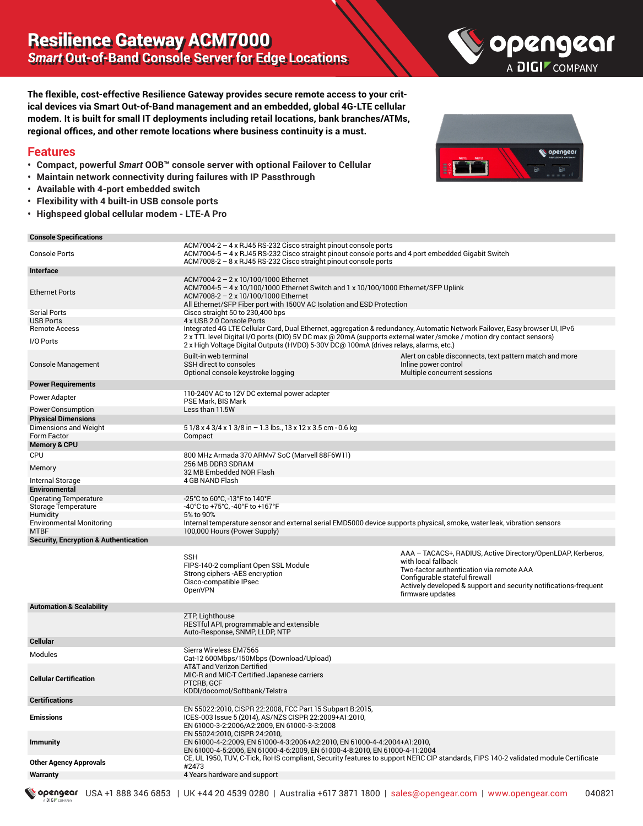

**The flexible, cost-effective Resilience Gateway provides secure remote access to your critical devices via Smart Out-of-Band management and an embedded, global 4G-LTE cellular modem. It is built for small IT deployments including retail locations, bank branches/ATMs, regional offices, and other remote locations where business continuity is a must.**

#### **Features**

- **• Compact, powerful** *Smart* **OOB**™ **console server with optional Failover to Cellular**
- **• Maintain network connectivity during failures with IP Passthrough**
- **• Available with 4-port embedded switch**
- **• Flexibility with 4 built-in USB console ports**
- **• Highspeed global cellular modem LTE-A Pro**

#### **Console Specifications**

DIGP



| <b>Console Specifications</b>                    |                                                                                                                                                                                                                                                                                                                                              |                                                                                                                                                                                                                                                          |
|--------------------------------------------------|----------------------------------------------------------------------------------------------------------------------------------------------------------------------------------------------------------------------------------------------------------------------------------------------------------------------------------------------|----------------------------------------------------------------------------------------------------------------------------------------------------------------------------------------------------------------------------------------------------------|
| <b>Console Ports</b>                             | ACM7004-2 - 4 x RJ45 RS-232 Cisco straight pinout console ports<br>ACM7004-5 – 4 x RJ45 RS-232 Cisco straight pinout console ports and 4 port embedded Gigabit Switch<br>$ACM7008-2 - 8 \times RJ45 RS-232 Cisco straight pinout console ports$                                                                                              |                                                                                                                                                                                                                                                          |
| Interface                                        |                                                                                                                                                                                                                                                                                                                                              |                                                                                                                                                                                                                                                          |
| <b>Ethernet Ports</b>                            | ACM7004-2 - 2 x 10/100/1000 Ethernet<br>ACM7004-5 - 4 x 10/100/1000 Ethernet Switch and 1 x 10/100/1000 Ethernet/SFP Uplink<br>ACM7008-2 - 2 x 10/100/1000 Ethernet<br>All Ethernet/SFP Fiber port with 1500V AC Isolation and ESD Protection                                                                                                |                                                                                                                                                                                                                                                          |
| <b>Serial Ports</b>                              | Cisco straight 50 to 230,400 bps                                                                                                                                                                                                                                                                                                             |                                                                                                                                                                                                                                                          |
| <b>USB Ports</b>                                 | 4 x USB 2.0 Console Ports                                                                                                                                                                                                                                                                                                                    |                                                                                                                                                                                                                                                          |
| <b>Remote Access</b><br>I/O Ports                | Integrated 4G LTE Cellular Card, Dual Ethernet, aggregation & redundancy, Automatic Network Failover, Easy browser UI, IPv6<br>2 x TTL level Digital I/O ports (DIO) 5V DC max @ 20mA (supports external water /smoke / motion dry contact sensors)<br>2 x High Voltage Digital Outputs (HVDO) 5-30V DC@ 100mA (drives relays, alarms, etc.) |                                                                                                                                                                                                                                                          |
| Console Management                               | Built-in web terminal<br>SSH direct to consoles<br>Optional console keystroke logging                                                                                                                                                                                                                                                        | Alert on cable disconnects, text pattern match and more<br>Inline power control<br>Multiple concurrent sessions                                                                                                                                          |
| <b>Power Requirements</b>                        |                                                                                                                                                                                                                                                                                                                                              |                                                                                                                                                                                                                                                          |
| Power Adapter                                    | 110-240V AC to 12V DC external power adapter<br>PSE Mark, BIS Mark                                                                                                                                                                                                                                                                           |                                                                                                                                                                                                                                                          |
| <b>Power Consumption</b>                         | Less than 11.5W                                                                                                                                                                                                                                                                                                                              |                                                                                                                                                                                                                                                          |
| <b>Physical Dimensions</b>                       |                                                                                                                                                                                                                                                                                                                                              |                                                                                                                                                                                                                                                          |
| Dimensions and Weight                            | 51/8 x 4 3/4 x 1 3/8 in - 1.3 lbs., 13 x 12 x 3.5 cm - 0.6 kg                                                                                                                                                                                                                                                                                |                                                                                                                                                                                                                                                          |
| Form Factor                                      | Compact                                                                                                                                                                                                                                                                                                                                      |                                                                                                                                                                                                                                                          |
| <b>Memory &amp; CPU</b>                          |                                                                                                                                                                                                                                                                                                                                              |                                                                                                                                                                                                                                                          |
| <b>CPU</b>                                       | 800 MHz Armada 370 ARMv7 SoC (Marvell 88F6W11)                                                                                                                                                                                                                                                                                               |                                                                                                                                                                                                                                                          |
|                                                  | 256 MB DDR3 SDRAM                                                                                                                                                                                                                                                                                                                            |                                                                                                                                                                                                                                                          |
| Memory                                           | 32 MB Embedded NOR Flash                                                                                                                                                                                                                                                                                                                     |                                                                                                                                                                                                                                                          |
| Internal Storage                                 | 4 GB NAND Flash                                                                                                                                                                                                                                                                                                                              |                                                                                                                                                                                                                                                          |
| Environmental                                    |                                                                                                                                                                                                                                                                                                                                              |                                                                                                                                                                                                                                                          |
| <b>Operating Temperature</b>                     | -25°C to 60°C, -13°F to 140°F                                                                                                                                                                                                                                                                                                                |                                                                                                                                                                                                                                                          |
| Storage Temperature                              | -40°C to +75°C, -40°F to +167°F                                                                                                                                                                                                                                                                                                              |                                                                                                                                                                                                                                                          |
| Humidity                                         | 5% to 90%                                                                                                                                                                                                                                                                                                                                    |                                                                                                                                                                                                                                                          |
| <b>Environmental Monitoring</b>                  | Internal temperature sensor and external serial EMD5000 device supports physical, smoke, water leak, vibration sensors                                                                                                                                                                                                                       |                                                                                                                                                                                                                                                          |
| <b>MTBF</b>                                      | 100,000 Hours (Power Supply)                                                                                                                                                                                                                                                                                                                 |                                                                                                                                                                                                                                                          |
| <b>Security, Encryption &amp; Authentication</b> |                                                                                                                                                                                                                                                                                                                                              |                                                                                                                                                                                                                                                          |
|                                                  | <b>SSH</b><br>FIPS-140-2 compliant Open SSL Module<br>Strong ciphers - AES encryption<br>Cisco-compatible IPsec<br><b>OpenVPN</b>                                                                                                                                                                                                            | AAA - TACACS+, RADIUS, Active Directory/OpenLDAP, Kerberos,<br>with local fallback<br>Two-factor authentication via remote AAA<br>Configurable stateful firewall<br>Actively developed & support and security notifications-frequent<br>firmware updates |
| <b>Automation &amp; Scalability</b>              |                                                                                                                                                                                                                                                                                                                                              |                                                                                                                                                                                                                                                          |
|                                                  | ZTP, Lighthouse<br>RESTful API, programmable and extensible<br>Auto-Response, SNMP, LLDP, NTP                                                                                                                                                                                                                                                |                                                                                                                                                                                                                                                          |
| <b>Cellular</b>                                  |                                                                                                                                                                                                                                                                                                                                              |                                                                                                                                                                                                                                                          |
| Modules                                          | Sierra Wireless EM7565<br>Cat-12 600Mbps/150Mbps (Download/Upload)                                                                                                                                                                                                                                                                           |                                                                                                                                                                                                                                                          |
| <b>Cellular Certification</b>                    | AT&T and Verizon Certified<br>MIC-R and MIC-T Certified Japanese carriers<br>PTCRB, GCF<br>KDDI/docomol/Softbank/Telstra                                                                                                                                                                                                                     |                                                                                                                                                                                                                                                          |
| <b>Certifications</b>                            |                                                                                                                                                                                                                                                                                                                                              |                                                                                                                                                                                                                                                          |
| <b>Emissions</b>                                 | EN 55022:2010, CISPR 22:2008, FCC Part 15 Subpart B:2015,<br>ICES-003 Issue 5 (2014), AS/NZS CISPR 22:2009+A1:2010,<br>EN 61000-3-2:2006/A2:2009, EN 61000-3-3:2008                                                                                                                                                                          |                                                                                                                                                                                                                                                          |
| <b>Immunity</b>                                  | EN 55024:2010, CISPR 24:2010,<br>EN 61000-4-2:2009, EN 61000-4-3:2006+A2:2010, EN 61000-4-4:2004+A1:2010,<br>EN 61000-4-5:2006, EN 61000-4-6:2009, EN 61000-4-8:2010, EN 61000-4-11:2004                                                                                                                                                     |                                                                                                                                                                                                                                                          |
| <b>Other Agency Approvals</b>                    | CE, UL 1950, TUV, C-Tick, RoHS compliant, Security features to support NERC CIP standards, FIPS 140-2 validated module Certificate<br>#2473                                                                                                                                                                                                  |                                                                                                                                                                                                                                                          |
| <b>Warranty</b>                                  | 4 Years hardware and support                                                                                                                                                                                                                                                                                                                 |                                                                                                                                                                                                                                                          |
|                                                  |                                                                                                                                                                                                                                                                                                                                              |                                                                                                                                                                                                                                                          |